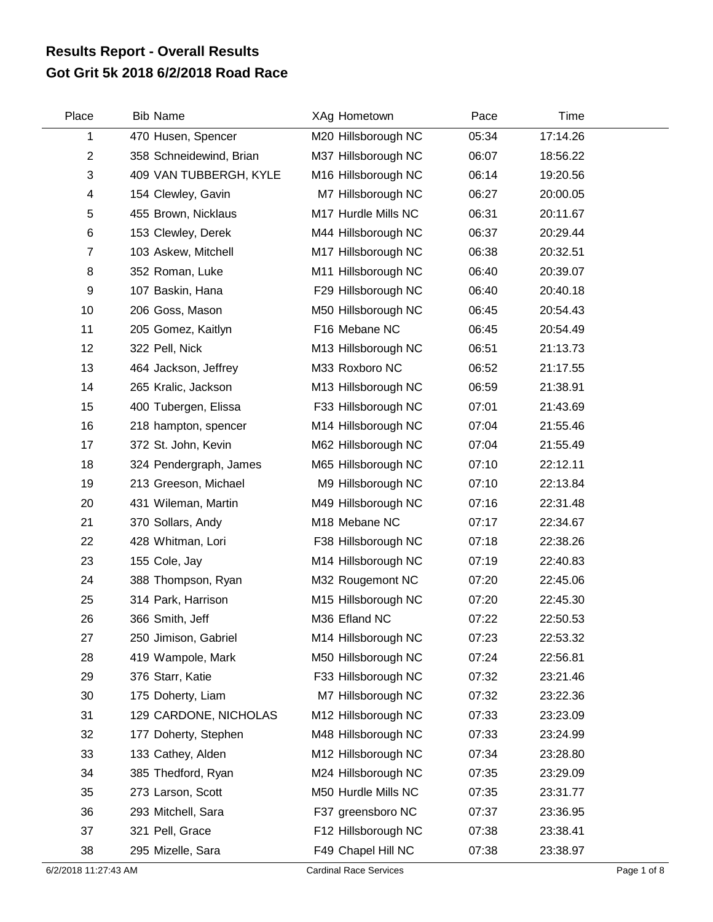## **Got Grit 5k 2018 6/2/2018 Road Race Results Report - Overall Results**

| Place          | <b>Bib Name</b>         | XAg Hometown        | Pace  | Time     |  |
|----------------|-------------------------|---------------------|-------|----------|--|
| 1              | 470 Husen, Spencer      | M20 Hillsborough NC | 05:34 | 17:14.26 |  |
| $\overline{2}$ | 358 Schneidewind, Brian | M37 Hillsborough NC | 06:07 | 18:56.22 |  |
| 3              | 409 VAN TUBBERGH, KYLE  | M16 Hillsborough NC | 06:14 | 19:20.56 |  |
| 4              | 154 Clewley, Gavin      | M7 Hillsborough NC  | 06:27 | 20:00.05 |  |
| 5              | 455 Brown, Nicklaus     | M17 Hurdle Mills NC | 06:31 | 20:11.67 |  |
| 6              | 153 Clewley, Derek      | M44 Hillsborough NC | 06:37 | 20:29.44 |  |
| $\overline{7}$ | 103 Askew, Mitchell     | M17 Hillsborough NC | 06:38 | 20:32.51 |  |
| 8              | 352 Roman, Luke         | M11 Hillsborough NC | 06:40 | 20:39.07 |  |
| 9              | 107 Baskin, Hana        | F29 Hillsborough NC | 06:40 | 20:40.18 |  |
| 10             | 206 Goss, Mason         | M50 Hillsborough NC | 06:45 | 20:54.43 |  |
| 11             | 205 Gomez, Kaitlyn      | F16 Mebane NC       | 06:45 | 20:54.49 |  |
| 12             | 322 Pell, Nick          | M13 Hillsborough NC | 06:51 | 21:13.73 |  |
| 13             | 464 Jackson, Jeffrey    | M33 Roxboro NC      | 06:52 | 21:17.55 |  |
| 14             | 265 Kralic, Jackson     | M13 Hillsborough NC | 06:59 | 21:38.91 |  |
| 15             | 400 Tubergen, Elissa    | F33 Hillsborough NC | 07:01 | 21:43.69 |  |
| 16             | 218 hampton, spencer    | M14 Hillsborough NC | 07:04 | 21:55.46 |  |
| 17             | 372 St. John, Kevin     | M62 Hillsborough NC | 07:04 | 21:55.49 |  |
| 18             | 324 Pendergraph, James  | M65 Hillsborough NC | 07:10 | 22:12.11 |  |
| 19             | 213 Greeson, Michael    | M9 Hillsborough NC  | 07:10 | 22:13.84 |  |
| 20             | 431 Wileman, Martin     | M49 Hillsborough NC | 07:16 | 22:31.48 |  |
| 21             | 370 Sollars, Andy       | M18 Mebane NC       | 07:17 | 22:34.67 |  |
| 22             | 428 Whitman, Lori       | F38 Hillsborough NC | 07:18 | 22:38.26 |  |
| 23             | 155 Cole, Jay           | M14 Hillsborough NC | 07:19 | 22:40.83 |  |
| 24             | 388 Thompson, Ryan      | M32 Rougemont NC    | 07:20 | 22:45.06 |  |
| 25             | 314 Park, Harrison      | M15 Hillsborough NC | 07:20 | 22:45.30 |  |
| 26             | 366 Smith, Jeff         | M36 Efland NC       | 07:22 | 22:50.53 |  |
| 27             | 250 Jimison, Gabriel    | M14 Hillsborough NC | 07:23 | 22:53.32 |  |
| 28             | 419 Wampole, Mark       | M50 Hillsborough NC | 07:24 | 22:56.81 |  |
| 29             | 376 Starr, Katie        | F33 Hillsborough NC | 07:32 | 23:21.46 |  |
| 30             | 175 Doherty, Liam       | M7 Hillsborough NC  | 07:32 | 23:22.36 |  |
| 31             | 129 CARDONE, NICHOLAS   | M12 Hillsborough NC | 07:33 | 23:23.09 |  |
| 32             | 177 Doherty, Stephen    | M48 Hillsborough NC | 07:33 | 23:24.99 |  |
| 33             | 133 Cathey, Alden       | M12 Hillsborough NC | 07:34 | 23:28.80 |  |
| 34             | 385 Thedford, Ryan      | M24 Hillsborough NC | 07:35 | 23:29.09 |  |
| 35             | 273 Larson, Scott       | M50 Hurdle Mills NC | 07:35 | 23:31.77 |  |
| 36             | 293 Mitchell, Sara      | F37 greensboro NC   | 07:37 | 23:36.95 |  |
| 37             | 321 Pell, Grace         | F12 Hillsborough NC | 07:38 | 23:38.41 |  |
| 38             | 295 Mizelle, Sara       | F49 Chapel Hill NC  | 07:38 | 23:38.97 |  |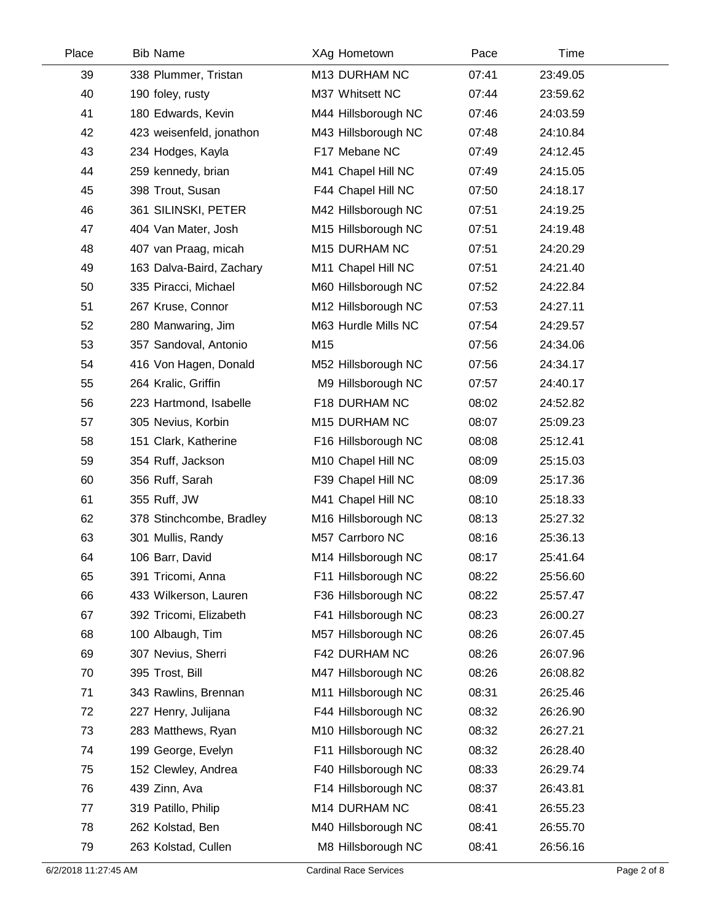| Place | <b>Bib Name</b>          | XAg Hometown        | Pace  | Time     |  |
|-------|--------------------------|---------------------|-------|----------|--|
| 39    | 338 Plummer, Tristan     | M13 DURHAM NC       | 07:41 | 23:49.05 |  |
| 40    | 190 foley, rusty         | M37 Whitsett NC     | 07:44 | 23:59.62 |  |
| 41    | 180 Edwards, Kevin       | M44 Hillsborough NC | 07:46 | 24:03.59 |  |
| 42    | 423 weisenfeld, jonathon | M43 Hillsborough NC | 07:48 | 24:10.84 |  |
| 43    | 234 Hodges, Kayla        | F17 Mebane NC       | 07:49 | 24:12.45 |  |
| 44    | 259 kennedy, brian       | M41 Chapel Hill NC  | 07:49 | 24:15.05 |  |
| 45    | 398 Trout, Susan         | F44 Chapel Hill NC  | 07:50 | 24:18.17 |  |
| 46    | 361 SILINSKI, PETER      | M42 Hillsborough NC | 07:51 | 24:19.25 |  |
| 47    | 404 Van Mater, Josh      | M15 Hillsborough NC | 07:51 | 24:19.48 |  |
| 48    | 407 van Praag, micah     | M15 DURHAM NC       | 07:51 | 24:20.29 |  |
| 49    | 163 Dalva-Baird, Zachary | M11 Chapel Hill NC  | 07:51 | 24:21.40 |  |
| 50    | 335 Piracci, Michael     | M60 Hillsborough NC | 07:52 | 24:22.84 |  |
| 51    | 267 Kruse, Connor        | M12 Hillsborough NC | 07:53 | 24:27.11 |  |
| 52    | 280 Manwaring, Jim       | M63 Hurdle Mills NC | 07:54 | 24:29.57 |  |
| 53    | 357 Sandoval, Antonio    | M15                 | 07:56 | 24:34.06 |  |
| 54    | 416 Von Hagen, Donald    | M52 Hillsborough NC | 07:56 | 24:34.17 |  |
| 55    | 264 Kralic, Griffin      | M9 Hillsborough NC  | 07:57 | 24:40.17 |  |
| 56    | 223 Hartmond, Isabelle   | F18 DURHAM NC       | 08:02 | 24:52.82 |  |
| 57    | 305 Nevius, Korbin       | M15 DURHAM NC       | 08:07 | 25:09.23 |  |
| 58    | 151 Clark, Katherine     | F16 Hillsborough NC | 08:08 | 25:12.41 |  |
| 59    | 354 Ruff, Jackson        | M10 Chapel Hill NC  | 08:09 | 25:15.03 |  |
| 60    | 356 Ruff, Sarah          | F39 Chapel Hill NC  | 08:09 | 25:17.36 |  |
| 61    | 355 Ruff, JW             | M41 Chapel Hill NC  | 08:10 | 25:18.33 |  |
| 62    | 378 Stinchcombe, Bradley | M16 Hillsborough NC | 08:13 | 25:27.32 |  |
| 63    | 301 Mullis, Randy        | M57 Carrboro NC     | 08:16 | 25:36.13 |  |
| 64    | 106 Barr, David          | M14 Hillsborough NC | 08:17 | 25:41.64 |  |
| 65    | 391 Tricomi, Anna        | F11 Hillsborough NC | 08:22 | 25:56.60 |  |
| 66    | 433 Wilkerson, Lauren    | F36 Hillsborough NC | 08:22 | 25:57.47 |  |
| 67    | 392 Tricomi, Elizabeth   | F41 Hillsborough NC | 08:23 | 26:00.27 |  |
| 68    | 100 Albaugh, Tim         | M57 Hillsborough NC | 08:26 | 26:07.45 |  |
| 69    | 307 Nevius, Sherri       | F42 DURHAM NC       | 08:26 | 26:07.96 |  |
| 70    | 395 Trost, Bill          | M47 Hillsborough NC | 08:26 | 26:08.82 |  |
| 71    | 343 Rawlins, Brennan     | M11 Hillsborough NC | 08:31 | 26:25.46 |  |
| 72    | 227 Henry, Julijana      | F44 Hillsborough NC | 08:32 | 26:26.90 |  |
| 73    | 283 Matthews, Ryan       | M10 Hillsborough NC | 08:32 | 26:27.21 |  |
| 74    | 199 George, Evelyn       | F11 Hillsborough NC | 08:32 | 26:28.40 |  |
| 75    | 152 Clewley, Andrea      | F40 Hillsborough NC | 08:33 | 26:29.74 |  |
| 76    | 439 Zinn, Ava            | F14 Hillsborough NC | 08:37 | 26:43.81 |  |
| 77    | 319 Patillo, Philip      | M14 DURHAM NC       | 08:41 | 26:55.23 |  |
| 78    | 262 Kolstad, Ben         | M40 Hillsborough NC | 08:41 | 26:55.70 |  |
| 79    | 263 Kolstad, Cullen      | M8 Hillsborough NC  | 08:41 | 26:56.16 |  |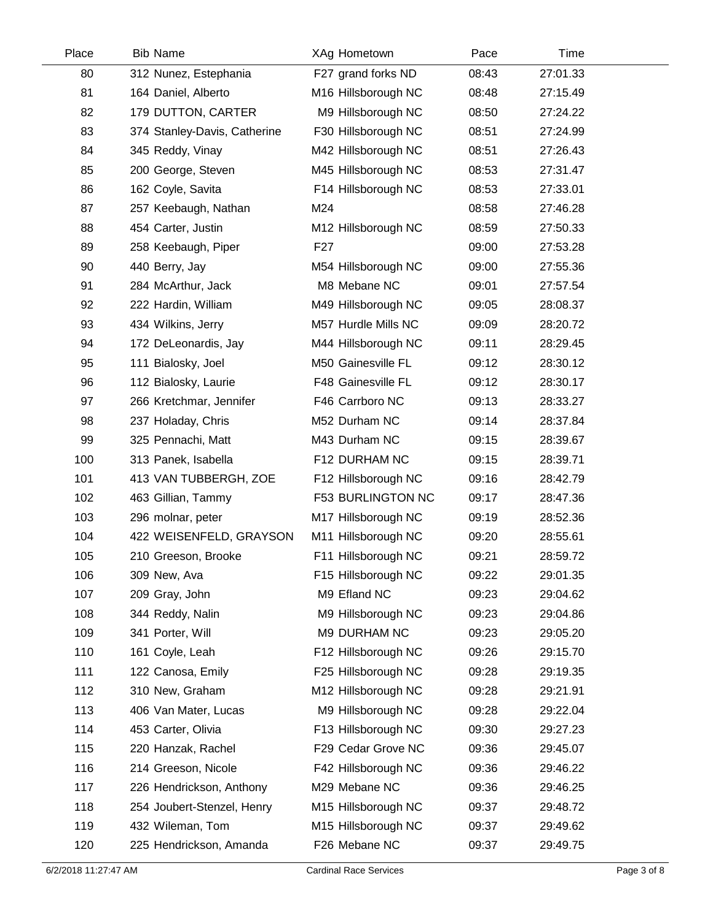| Place | <b>Bib Name</b>              | XAg Hometown        | Pace  | Time     |  |
|-------|------------------------------|---------------------|-------|----------|--|
| 80    | 312 Nunez, Estephania        | F27 grand forks ND  | 08:43 | 27:01.33 |  |
| 81    | 164 Daniel, Alberto          | M16 Hillsborough NC | 08:48 | 27:15.49 |  |
| 82    | 179 DUTTON, CARTER           | M9 Hillsborough NC  | 08:50 | 27:24.22 |  |
| 83    | 374 Stanley-Davis, Catherine | F30 Hillsborough NC | 08:51 | 27:24.99 |  |
| 84    | 345 Reddy, Vinay             | M42 Hillsborough NC | 08:51 | 27:26.43 |  |
| 85    | 200 George, Steven           | M45 Hillsborough NC | 08:53 | 27:31.47 |  |
| 86    | 162 Coyle, Savita            | F14 Hillsborough NC | 08:53 | 27:33.01 |  |
| 87    | 257 Keebaugh, Nathan         | M24                 | 08:58 | 27:46.28 |  |
| 88    | 454 Carter, Justin           | M12 Hillsborough NC | 08:59 | 27:50.33 |  |
| 89    | 258 Keebaugh, Piper          | F <sub>27</sub>     | 09:00 | 27:53.28 |  |
| 90    | 440 Berry, Jay               | M54 Hillsborough NC | 09:00 | 27:55.36 |  |
| 91    | 284 McArthur, Jack           | M8 Mebane NC        | 09:01 | 27:57.54 |  |
| 92    | 222 Hardin, William          | M49 Hillsborough NC | 09:05 | 28:08.37 |  |
| 93    | 434 Wilkins, Jerry           | M57 Hurdle Mills NC | 09:09 | 28:20.72 |  |
| 94    | 172 DeLeonardis, Jay         | M44 Hillsborough NC | 09:11 | 28:29.45 |  |
| 95    | 111 Bialosky, Joel           | M50 Gainesville FL  | 09:12 | 28:30.12 |  |
| 96    | 112 Bialosky, Laurie         | F48 Gainesville FL  | 09:12 | 28:30.17 |  |
| 97    | 266 Kretchmar, Jennifer      | F46 Carrboro NC     | 09:13 | 28:33.27 |  |
| 98    | 237 Holaday, Chris           | M52 Durham NC       | 09:14 | 28:37.84 |  |
| 99    | 325 Pennachi, Matt           | M43 Durham NC       | 09:15 | 28:39.67 |  |
| 100   | 313 Panek, Isabella          | F12 DURHAM NC       | 09:15 | 28:39.71 |  |
| 101   | 413 VAN TUBBERGH, ZOE        | F12 Hillsborough NC | 09:16 | 28:42.79 |  |
| 102   | 463 Gillian, Tammy           | F53 BURLINGTON NC   | 09:17 | 28:47.36 |  |
| 103   | 296 molnar, peter            | M17 Hillsborough NC | 09:19 | 28:52.36 |  |
| 104   | 422 WEISENFELD, GRAYSON      | M11 Hillsborough NC | 09:20 | 28:55.61 |  |
| 105   | 210 Greeson, Brooke          | F11 Hillsborough NC | 09:21 | 28:59.72 |  |
| 106   | 309 New, Ava                 | F15 Hillsborough NC | 09:22 | 29:01.35 |  |
| 107   | 209 Gray, John               | M9 Efland NC        | 09:23 | 29:04.62 |  |
| 108   | 344 Reddy, Nalin             | M9 Hillsborough NC  | 09:23 | 29:04.86 |  |
| 109   | 341 Porter, Will             | M9 DURHAM NC        | 09:23 | 29:05.20 |  |
| 110   | 161 Coyle, Leah              | F12 Hillsborough NC | 09:26 | 29:15.70 |  |
| 111   | 122 Canosa, Emily            | F25 Hillsborough NC | 09:28 | 29:19.35 |  |
| 112   | 310 New, Graham              | M12 Hillsborough NC | 09:28 | 29:21.91 |  |
| 113   | 406 Van Mater, Lucas         | M9 Hillsborough NC  | 09:28 | 29:22.04 |  |
| 114   | 453 Carter, Olivia           | F13 Hillsborough NC | 09:30 | 29:27.23 |  |
| 115   | 220 Hanzak, Rachel           | F29 Cedar Grove NC  | 09:36 | 29:45.07 |  |
| 116   | 214 Greeson, Nicole          | F42 Hillsborough NC | 09:36 | 29:46.22 |  |
| 117   | 226 Hendrickson, Anthony     | M29 Mebane NC       | 09:36 | 29:46.25 |  |
| 118   | 254 Joubert-Stenzel, Henry   | M15 Hillsborough NC | 09:37 | 29:48.72 |  |
| 119   | 432 Wileman, Tom             | M15 Hillsborough NC | 09:37 | 29:49.62 |  |
| 120   | 225 Hendrickson, Amanda      | F26 Mebane NC       | 09:37 | 29:49.75 |  |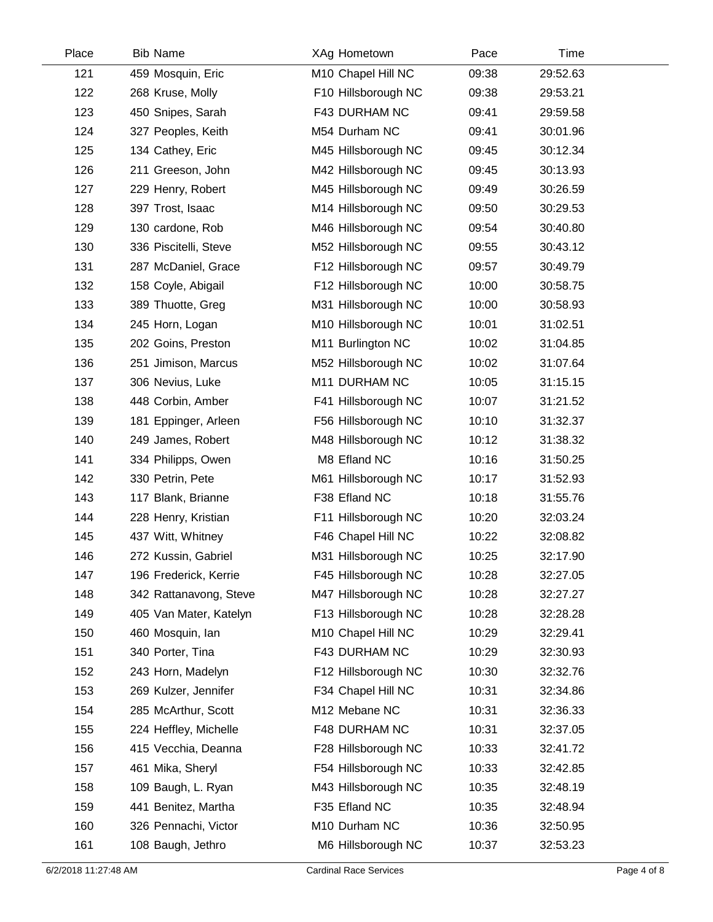| Place | <b>Bib Name</b>        | XAg Hometown        | Pace  | Time     |  |
|-------|------------------------|---------------------|-------|----------|--|
| 121   | 459 Mosquin, Eric      | M10 Chapel Hill NC  | 09:38 | 29:52.63 |  |
| 122   | 268 Kruse, Molly       | F10 Hillsborough NC | 09:38 | 29:53.21 |  |
| 123   | 450 Snipes, Sarah      | F43 DURHAM NC       | 09:41 | 29:59.58 |  |
| 124   | 327 Peoples, Keith     | M54 Durham NC       | 09:41 | 30:01.96 |  |
| 125   | 134 Cathey, Eric       | M45 Hillsborough NC | 09:45 | 30:12.34 |  |
| 126   | 211 Greeson, John      | M42 Hillsborough NC | 09:45 | 30:13.93 |  |
| 127   | 229 Henry, Robert      | M45 Hillsborough NC | 09:49 | 30:26.59 |  |
| 128   | 397 Trost, Isaac       | M14 Hillsborough NC | 09:50 | 30:29.53 |  |
| 129   | 130 cardone, Rob       | M46 Hillsborough NC | 09:54 | 30:40.80 |  |
| 130   | 336 Piscitelli, Steve  | M52 Hillsborough NC | 09:55 | 30:43.12 |  |
| 131   | 287 McDaniel, Grace    | F12 Hillsborough NC | 09:57 | 30:49.79 |  |
| 132   | 158 Coyle, Abigail     | F12 Hillsborough NC | 10:00 | 30:58.75 |  |
| 133   | 389 Thuotte, Greg      | M31 Hillsborough NC | 10:00 | 30:58.93 |  |
| 134   | 245 Horn, Logan        | M10 Hillsborough NC | 10:01 | 31:02.51 |  |
| 135   | 202 Goins, Preston     | M11 Burlington NC   | 10:02 | 31:04.85 |  |
| 136   | 251 Jimison, Marcus    | M52 Hillsborough NC | 10:02 | 31:07.64 |  |
| 137   | 306 Nevius, Luke       | M11 DURHAM NC       | 10:05 | 31:15.15 |  |
| 138   | 448 Corbin, Amber      | F41 Hillsborough NC | 10:07 | 31:21.52 |  |
| 139   | 181 Eppinger, Arleen   | F56 Hillsborough NC | 10:10 | 31:32.37 |  |
| 140   | 249 James, Robert      | M48 Hillsborough NC | 10:12 | 31:38.32 |  |
| 141   | 334 Philipps, Owen     | M8 Efland NC        | 10:16 | 31:50.25 |  |
| 142   | 330 Petrin, Pete       | M61 Hillsborough NC | 10:17 | 31:52.93 |  |
| 143   | 117 Blank, Brianne     | F38 Efland NC       | 10:18 | 31:55.76 |  |
| 144   | 228 Henry, Kristian    | F11 Hillsborough NC | 10:20 | 32:03.24 |  |
| 145   | 437 Witt, Whitney      | F46 Chapel Hill NC  | 10:22 | 32:08.82 |  |
| 146   | 272 Kussin, Gabriel    | M31 Hillsborough NC | 10:25 | 32:17.90 |  |
| 147   | 196 Frederick, Kerrie  | F45 Hillsborough NC | 10:28 | 32:27.05 |  |
| 148   | 342 Rattanavong, Steve | M47 Hillsborough NC | 10:28 | 32:27.27 |  |
| 149   | 405 Van Mater, Katelyn | F13 Hillsborough NC | 10:28 | 32:28.28 |  |
| 150   | 460 Mosquin, Ian       | M10 Chapel Hill NC  | 10:29 | 32:29.41 |  |
| 151   | 340 Porter, Tina       | F43 DURHAM NC       | 10:29 | 32:30.93 |  |
| 152   | 243 Horn, Madelyn      | F12 Hillsborough NC | 10:30 | 32:32.76 |  |
| 153   | 269 Kulzer, Jennifer   | F34 Chapel Hill NC  | 10:31 | 32:34.86 |  |
| 154   | 285 McArthur, Scott    | M12 Mebane NC       | 10:31 | 32:36.33 |  |
| 155   | 224 Heffley, Michelle  | F48 DURHAM NC       | 10:31 | 32:37.05 |  |
| 156   | 415 Vecchia, Deanna    | F28 Hillsborough NC | 10:33 | 32:41.72 |  |
| 157   | 461 Mika, Sheryl       | F54 Hillsborough NC | 10:33 | 32:42.85 |  |
| 158   | 109 Baugh, L. Ryan     | M43 Hillsborough NC | 10:35 | 32:48.19 |  |
| 159   | 441 Benitez, Martha    | F35 Efland NC       | 10:35 | 32:48.94 |  |
| 160   | 326 Pennachi, Victor   | M10 Durham NC       | 10:36 | 32:50.95 |  |
| 161   | 108 Baugh, Jethro      | M6 Hillsborough NC  | 10:37 | 32:53.23 |  |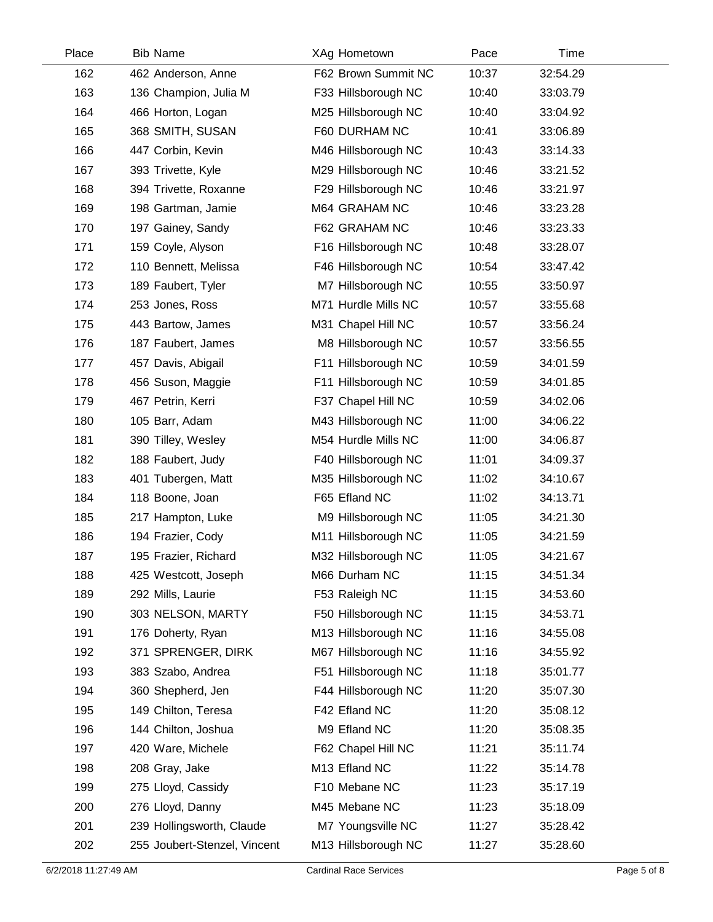| Place | <b>Bib Name</b>              | XAg Hometown        | Pace  | Time     |  |
|-------|------------------------------|---------------------|-------|----------|--|
| 162   | 462 Anderson, Anne           | F62 Brown Summit NC | 10:37 | 32:54.29 |  |
| 163   | 136 Champion, Julia M        | F33 Hillsborough NC | 10:40 | 33:03.79 |  |
| 164   | 466 Horton, Logan            | M25 Hillsborough NC | 10:40 | 33:04.92 |  |
| 165   | 368 SMITH, SUSAN             | F60 DURHAM NC       | 10:41 | 33:06.89 |  |
| 166   | 447 Corbin, Kevin            | M46 Hillsborough NC | 10:43 | 33:14.33 |  |
| 167   | 393 Trivette, Kyle           | M29 Hillsborough NC | 10:46 | 33:21.52 |  |
| 168   | 394 Trivette, Roxanne        | F29 Hillsborough NC | 10:46 | 33:21.97 |  |
| 169   | 198 Gartman, Jamie           | M64 GRAHAM NC       | 10:46 | 33:23.28 |  |
| 170   | 197 Gainey, Sandy            | F62 GRAHAM NC       | 10:46 | 33:23.33 |  |
| 171   | 159 Coyle, Alyson            | F16 Hillsborough NC | 10:48 | 33:28.07 |  |
| 172   | 110 Bennett, Melissa         | F46 Hillsborough NC | 10:54 | 33:47.42 |  |
| 173   | 189 Faubert, Tyler           | M7 Hillsborough NC  | 10:55 | 33:50.97 |  |
| 174   | 253 Jones, Ross              | M71 Hurdle Mills NC | 10:57 | 33:55.68 |  |
| 175   | 443 Bartow, James            | M31 Chapel Hill NC  | 10:57 | 33:56.24 |  |
| 176   | 187 Faubert, James           | M8 Hillsborough NC  | 10:57 | 33:56.55 |  |
| 177   | 457 Davis, Abigail           | F11 Hillsborough NC | 10:59 | 34:01.59 |  |
| 178   | 456 Suson, Maggie            | F11 Hillsborough NC | 10:59 | 34:01.85 |  |
| 179   | 467 Petrin, Kerri            | F37 Chapel Hill NC  | 10:59 | 34:02.06 |  |
| 180   | 105 Barr, Adam               | M43 Hillsborough NC | 11:00 | 34:06.22 |  |
| 181   | 390 Tilley, Wesley           | M54 Hurdle Mills NC | 11:00 | 34:06.87 |  |
| 182   | 188 Faubert, Judy            | F40 Hillsborough NC | 11:01 | 34:09.37 |  |
| 183   | 401 Tubergen, Matt           | M35 Hillsborough NC | 11:02 | 34:10.67 |  |
| 184   | 118 Boone, Joan              | F65 Efland NC       | 11:02 | 34:13.71 |  |
| 185   | 217 Hampton, Luke            | M9 Hillsborough NC  | 11:05 | 34:21.30 |  |
| 186   | 194 Frazier, Cody            | M11 Hillsborough NC | 11:05 | 34:21.59 |  |
| 187   | 195 Frazier, Richard         | M32 Hillsborough NC | 11:05 | 34:21.67 |  |
| 188   | 425 Westcott, Joseph         | M66 Durham NC       | 11:15 | 34:51.34 |  |
| 189   | 292 Mills, Laurie            | F53 Raleigh NC      | 11:15 | 34:53.60 |  |
| 190   | 303 NELSON, MARTY            | F50 Hillsborough NC | 11:15 | 34:53.71 |  |
| 191   | 176 Doherty, Ryan            | M13 Hillsborough NC | 11:16 | 34:55.08 |  |
| 192   | 371 SPRENGER, DIRK           | M67 Hillsborough NC | 11:16 | 34:55.92 |  |
| 193   | 383 Szabo, Andrea            | F51 Hillsborough NC | 11:18 | 35:01.77 |  |
| 194   | 360 Shepherd, Jen            | F44 Hillsborough NC | 11:20 | 35:07.30 |  |
| 195   | 149 Chilton, Teresa          | F42 Efland NC       | 11:20 | 35:08.12 |  |
| 196   | 144 Chilton, Joshua          | M9 Efland NC        | 11:20 | 35:08.35 |  |
| 197   | 420 Ware, Michele            | F62 Chapel Hill NC  | 11:21 | 35:11.74 |  |
| 198   | 208 Gray, Jake               | M13 Efland NC       | 11:22 | 35:14.78 |  |
| 199   | 275 Lloyd, Cassidy           | F10 Mebane NC       | 11:23 | 35:17.19 |  |
| 200   | 276 Lloyd, Danny             | M45 Mebane NC       | 11:23 | 35:18.09 |  |
| 201   | 239 Hollingsworth, Claude    | M7 Youngsville NC   | 11:27 | 35:28.42 |  |
| 202   | 255 Joubert-Stenzel, Vincent | M13 Hillsborough NC | 11:27 | 35:28.60 |  |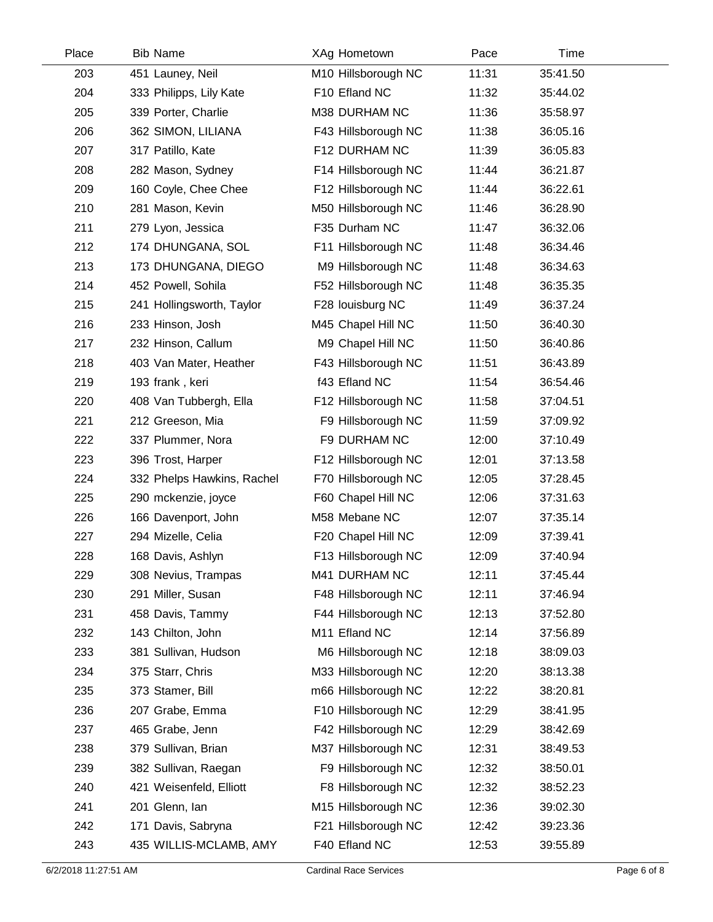| Place | <b>Bib Name</b>            | XAg Hometown        | Pace  | Time     |  |
|-------|----------------------------|---------------------|-------|----------|--|
| 203   | 451 Launey, Neil           | M10 Hillsborough NC | 11:31 | 35:41.50 |  |
| 204   | 333 Philipps, Lily Kate    | F10 Efland NC       | 11:32 | 35:44.02 |  |
| 205   | 339 Porter, Charlie        | M38 DURHAM NC       | 11:36 | 35:58.97 |  |
| 206   | 362 SIMON, LILIANA         | F43 Hillsborough NC | 11:38 | 36:05.16 |  |
| 207   | 317 Patillo, Kate          | F12 DURHAM NC       | 11:39 | 36:05.83 |  |
| 208   | 282 Mason, Sydney          | F14 Hillsborough NC | 11:44 | 36:21.87 |  |
| 209   | 160 Coyle, Chee Chee       | F12 Hillsborough NC | 11:44 | 36:22.61 |  |
| 210   | 281 Mason, Kevin           | M50 Hillsborough NC | 11:46 | 36:28.90 |  |
| 211   | 279 Lyon, Jessica          | F35 Durham NC       | 11:47 | 36:32.06 |  |
| 212   | 174 DHUNGANA, SOL          | F11 Hillsborough NC | 11:48 | 36:34.46 |  |
| 213   | 173 DHUNGANA, DIEGO        | M9 Hillsborough NC  | 11:48 | 36:34.63 |  |
| 214   | 452 Powell, Sohila         | F52 Hillsborough NC | 11:48 | 36:35.35 |  |
| 215   | 241 Hollingsworth, Taylor  | F28 louisburg NC    | 11:49 | 36:37.24 |  |
| 216   | 233 Hinson, Josh           | M45 Chapel Hill NC  | 11:50 | 36:40.30 |  |
| 217   | 232 Hinson, Callum         | M9 Chapel Hill NC   | 11:50 | 36:40.86 |  |
| 218   | 403 Van Mater, Heather     | F43 Hillsborough NC | 11:51 | 36:43.89 |  |
| 219   | 193 frank, keri            | f43 Efland NC       | 11:54 | 36:54.46 |  |
| 220   | 408 Van Tubbergh, Ella     | F12 Hillsborough NC | 11:58 | 37:04.51 |  |
| 221   | 212 Greeson, Mia           | F9 Hillsborough NC  | 11:59 | 37:09.92 |  |
| 222   | 337 Plummer, Nora          | F9 DURHAM NC        | 12:00 | 37:10.49 |  |
| 223   | 396 Trost, Harper          | F12 Hillsborough NC | 12:01 | 37:13.58 |  |
| 224   | 332 Phelps Hawkins, Rachel | F70 Hillsborough NC | 12:05 | 37:28.45 |  |
| 225   | 290 mckenzie, joyce        | F60 Chapel Hill NC  | 12:06 | 37:31.63 |  |
| 226   | 166 Davenport, John        | M58 Mebane NC       | 12:07 | 37:35.14 |  |
| 227   | 294 Mizelle, Celia         | F20 Chapel Hill NC  | 12:09 | 37:39.41 |  |
| 228   | 168 Davis, Ashlyn          | F13 Hillsborough NC | 12:09 | 37:40.94 |  |
| 229   | 308 Nevius, Trampas        | M41 DURHAM NC       | 12:11 | 37:45.44 |  |
| 230   | 291 Miller, Susan          | F48 Hillsborough NC | 12:11 | 37:46.94 |  |
| 231   | 458 Davis, Tammy           | F44 Hillsborough NC | 12:13 | 37:52.80 |  |
| 232   | 143 Chilton, John          | M11 Efland NC       | 12:14 | 37:56.89 |  |
| 233   | 381 Sullivan, Hudson       | M6 Hillsborough NC  | 12:18 | 38:09.03 |  |
| 234   | 375 Starr, Chris           | M33 Hillsborough NC | 12:20 | 38:13.38 |  |
| 235   | 373 Stamer, Bill           | m66 Hillsborough NC | 12:22 | 38:20.81 |  |
| 236   | 207 Grabe, Emma            | F10 Hillsborough NC | 12:29 | 38:41.95 |  |
| 237   | 465 Grabe, Jenn            | F42 Hillsborough NC | 12:29 | 38:42.69 |  |
| 238   | 379 Sullivan, Brian        | M37 Hillsborough NC | 12:31 | 38:49.53 |  |
| 239   | 382 Sullivan, Raegan       | F9 Hillsborough NC  | 12:32 | 38:50.01 |  |
| 240   | 421 Weisenfeld, Elliott    | F8 Hillsborough NC  | 12:32 | 38:52.23 |  |
| 241   | 201 Glenn, Ian             | M15 Hillsborough NC | 12:36 | 39:02.30 |  |
| 242   | 171 Davis, Sabryna         | F21 Hillsborough NC | 12:42 | 39:23.36 |  |
| 243   | 435 WILLIS-MCLAMB, AMY     | F40 Efland NC       | 12:53 | 39:55.89 |  |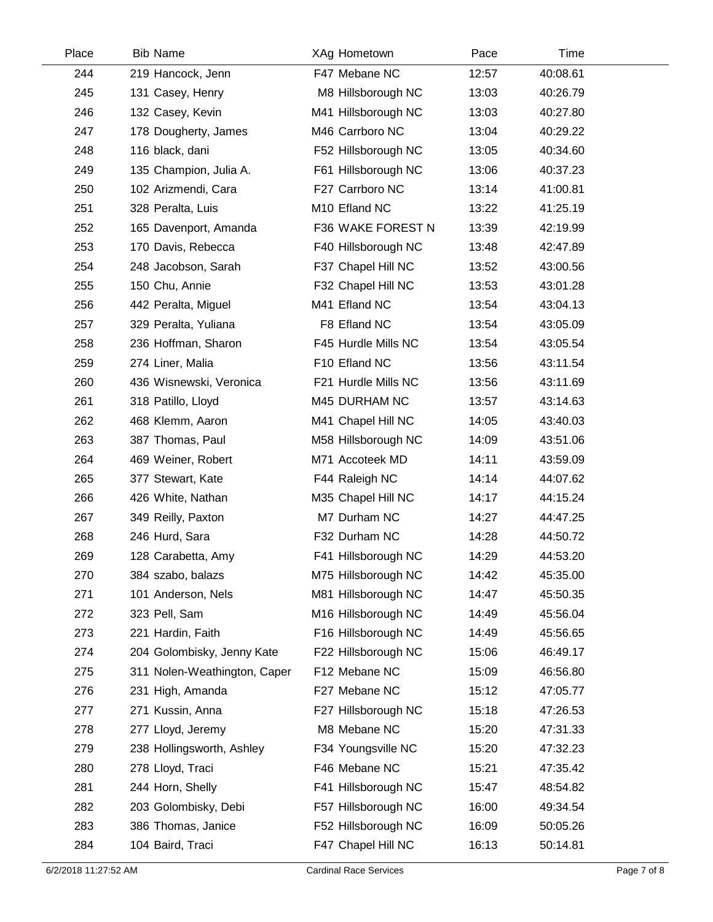| Place | <b>Bib Name</b>              | XAg Hometown        | Pace  | Time     |  |
|-------|------------------------------|---------------------|-------|----------|--|
| 244   | 219 Hancock, Jenn            | F47 Mebane NC       | 12:57 | 40:08.61 |  |
| 245   | 131 Casey, Henry             | M8 Hillsborough NC  | 13:03 | 40:26.79 |  |
| 246   | 132 Casey, Kevin             | M41 Hillsborough NC | 13:03 | 40:27.80 |  |
| 247   | 178 Dougherty, James         | M46 Carrboro NC     | 13:04 | 40:29.22 |  |
| 248   | 116 black, dani              | F52 Hillsborough NC | 13:05 | 40:34.60 |  |
| 249   | 135 Champion, Julia A.       | F61 Hillsborough NC | 13:06 | 40:37.23 |  |
| 250   | 102 Arizmendi, Cara          | F27 Carrboro NC     | 13:14 | 41:00.81 |  |
| 251   | 328 Peralta, Luis            | M10 Efland NC       | 13:22 | 41:25.19 |  |
| 252   | 165 Davenport, Amanda        | F36 WAKE FOREST N   | 13:39 | 42:19.99 |  |
| 253   | 170 Davis, Rebecca           | F40 Hillsborough NC | 13:48 | 42:47.89 |  |
| 254   | 248 Jacobson, Sarah          | F37 Chapel Hill NC  | 13:52 | 43:00.56 |  |
| 255   | 150 Chu, Annie               | F32 Chapel Hill NC  | 13:53 | 43:01.28 |  |
| 256   | 442 Peralta, Miguel          | M41 Efland NC       | 13:54 | 43:04.13 |  |
| 257   | 329 Peralta, Yuliana         | F8 Efland NC        | 13:54 | 43:05.09 |  |
| 258   | 236 Hoffman, Sharon          | F45 Hurdle Mills NC | 13:54 | 43:05.54 |  |
| 259   | 274 Liner, Malia             | F10 Efland NC       | 13:56 | 43:11.54 |  |
| 260   | 436 Wisnewski, Veronica      | F21 Hurdle Mills NC | 13:56 | 43:11.69 |  |
| 261   | 318 Patillo, Lloyd           | M45 DURHAM NC       | 13:57 | 43:14.63 |  |
| 262   | 468 Klemm, Aaron             | M41 Chapel Hill NC  | 14:05 | 43:40.03 |  |
| 263   | 387 Thomas, Paul             | M58 Hillsborough NC | 14:09 | 43:51.06 |  |
| 264   | 469 Weiner, Robert           | M71 Accoteek MD     | 14:11 | 43:59.09 |  |
| 265   | 377 Stewart, Kate            | F44 Raleigh NC      | 14:14 | 44:07.62 |  |
| 266   | 426 White, Nathan            | M35 Chapel Hill NC  | 14:17 | 44:15.24 |  |
| 267   | 349 Reilly, Paxton           | M7 Durham NC        | 14:27 | 44:47.25 |  |
| 268   | 246 Hurd, Sara               | F32 Durham NC       | 14:28 | 44:50.72 |  |
| 269   | 128 Carabetta, Amy           | F41 Hillsborough NC | 14:29 | 44:53.20 |  |
| 270   | 384 szabo, balazs            | M75 Hillsborough NC | 14:42 | 45:35.00 |  |
| 271   | 101 Anderson, Nels           | M81 Hillsborough NC | 14:47 | 45:50.35 |  |
| 272   | 323 Pell, Sam                | M16 Hillsborough NC | 14:49 | 45:56.04 |  |
| 273   | 221 Hardin, Faith            | F16 Hillsborough NC | 14:49 | 45:56.65 |  |
| 274   | 204 Golombisky, Jenny Kate   | F22 Hillsborough NC | 15:06 | 46:49.17 |  |
| 275   | 311 Nolen-Weathington, Caper | F12 Mebane NC       | 15:09 | 46:56.80 |  |
| 276   | 231 High, Amanda             | F27 Mebane NC       | 15:12 | 47:05.77 |  |
| 277   | 271 Kussin, Anna             | F27 Hillsborough NC | 15:18 | 47:26.53 |  |
| 278   | 277 Lloyd, Jeremy            | M8 Mebane NC        | 15:20 | 47:31.33 |  |
| 279   | 238 Hollingsworth, Ashley    | F34 Youngsville NC  | 15:20 | 47:32.23 |  |
| 280   | 278 Lloyd, Traci             | F46 Mebane NC       | 15:21 | 47:35.42 |  |
| 281   | 244 Horn, Shelly             | F41 Hillsborough NC | 15:47 | 48:54.82 |  |
| 282   | 203 Golombisky, Debi         | F57 Hillsborough NC | 16:00 | 49:34.54 |  |
| 283   | 386 Thomas, Janice           | F52 Hillsborough NC | 16:09 | 50:05.26 |  |
| 284   | 104 Baird, Traci             | F47 Chapel Hill NC  | 16:13 | 50:14.81 |  |